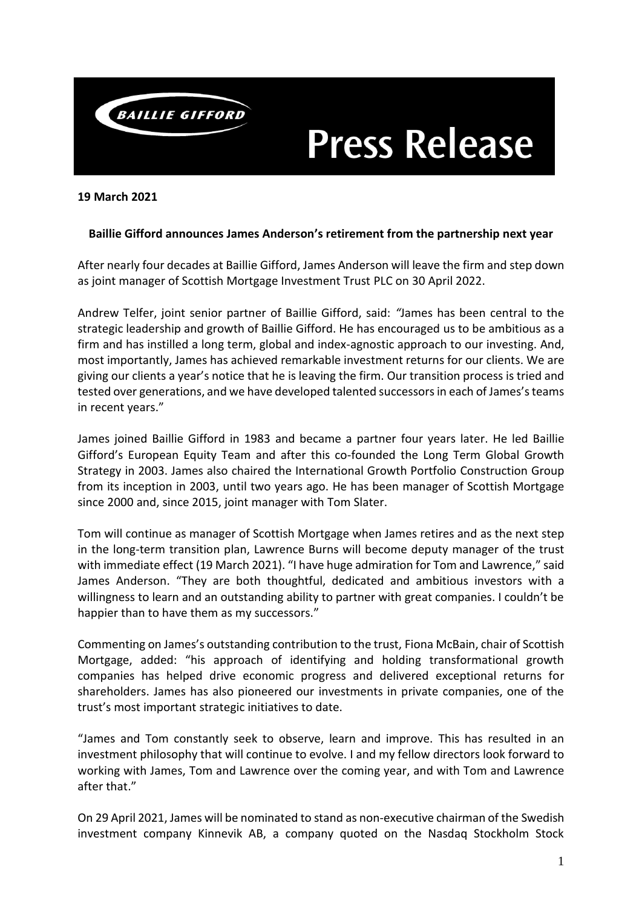

# **Press Release**

#### **19 March 2021**

### **Baillie Gifford announces James Anderson's retirement from the partnership next year**

After nearly four decades at Baillie Gifford, James Anderson will leave the firm and step down as joint manager of Scottish Mortgage Investment Trust PLC on 30 April 2022.

Andrew Telfer, joint senior partner of Baillie Gifford, said: *"*James has been central to the strategic leadership and growth of Baillie Gifford. He has encouraged us to be ambitious as a firm and has instilled a long term, global and index-agnostic approach to our investing. And, most importantly, James has achieved remarkable investment returns for our clients. We are giving our clients a year's notice that he is leaving the firm. Our transition process is tried and tested over generations, and we have developed talented successors in each of James's teams in recent years."

James joined Baillie Gifford in 1983 and became a partner four years later. He led Baillie Gifford's European Equity Team and after this co-founded the Long Term Global Growth Strategy in 2003. James also chaired the International Growth Portfolio Construction Group from its inception in 2003, until two years ago. He has been manager of Scottish Mortgage since 2000 and, since 2015, joint manager with Tom Slater.

Tom will continue as manager of Scottish Mortgage when James retires and as the next step in the long-term transition plan, Lawrence Burns will become deputy manager of the trust with immediate effect (19 March 2021). "I have huge admiration for Tom and Lawrence," said James Anderson. "They are both thoughtful, dedicated and ambitious investors with a willingness to learn and an outstanding ability to partner with great companies. I couldn't be happier than to have them as my successors."

Commenting on James's outstanding contribution to the trust, Fiona McBain, chair of Scottish Mortgage, added: "his approach of identifying and holding transformational growth companies has helped drive economic progress and delivered exceptional returns for shareholders. James has also pioneered our investments in private companies, one of the trust's most important strategic initiatives to date.

"James and Tom constantly seek to observe, learn and improve. This has resulted in an investment philosophy that will continue to evolve. I and my fellow directors look forward to working with James, Tom and Lawrence over the coming year, and with Tom and Lawrence after that."

On 29 April 2021, James will be nominated to stand as non-executive chairman of the Swedish investment company Kinnevik AB, a company quoted on the Nasdaq Stockholm Stock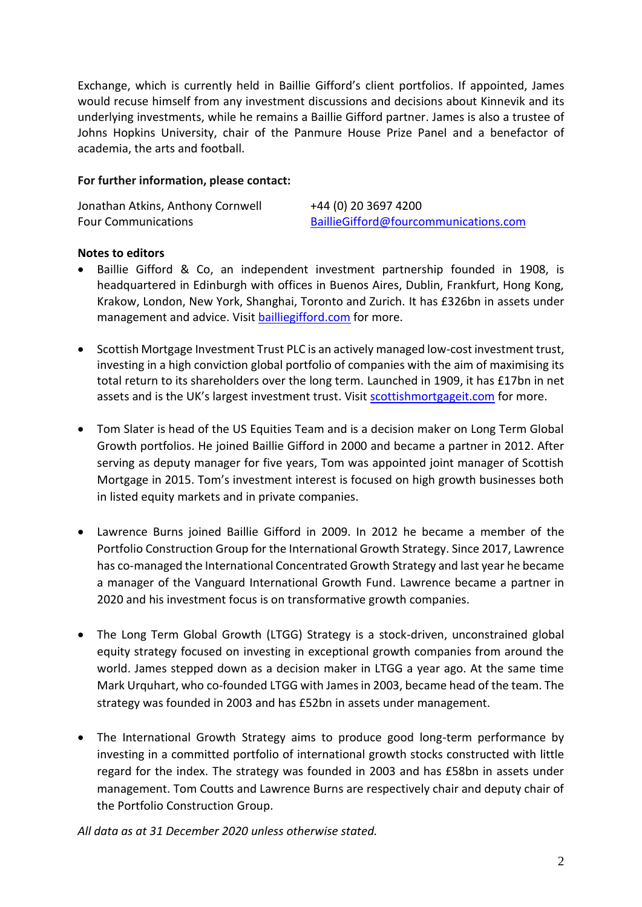Exchange, which is currently held in Baillie Gifford's client portfolios. If appointed, James would recuse himself from any investment discussions and decisions about Kinnevik and its underlying investments, while he remains a Baillie Gifford partner. James is also a trustee of Johns Hopkins University, chair of the Panmure House Prize Panel and a benefactor of academia, the arts and football.

## **For further information, please contact:**

Jonathan Atkins, Anthony Cornwell +44 (0) 20 3697 4200

Four Communications [BaillieGifford@fourcommunications.com](mailto:BaillieGifford@fourcommunications.com)

#### **Notes to editors**

- Baillie Gifford & Co, an independent investment partnership founded in 1908, is headquartered in Edinburgh with offices in Buenos Aires, Dublin, Frankfurt, Hong Kong, Krakow, London, New York, Shanghai, Toronto and Zurich. It has £326bn in assets under management and advice. Visit **bailliegifford.com** for more.
- Scottish Mortgage Investment Trust PLC is an actively managed low-cost investment trust, investing in a high conviction global portfolio of companies with the aim of maximising its total return to its shareholders over the long term. Launched in 1909, it has £17bn in net assets and is the UK's largest investment trust. Visit [scottishmortgageit.com](https://www.bailliegifford.com/en/uk/individual-investors/funds/scottish-mortgage-investment-trust/) for more.
- Tom Slater is head of the US Equities Team and is a decision maker on Long Term Global Growth portfolios. He joined Baillie Gifford in 2000 and became a partner in 2012. After serving as deputy manager for five years, Tom was appointed joint manager of Scottish Mortgage in 2015. Tom's investment interest is focused on high growth businesses both in listed equity markets and in private companies.
- Lawrence Burns joined Baillie Gifford in 2009. In 2012 he became a member of the Portfolio Construction Group for the International Growth Strategy. Since 2017, Lawrence has co-managed the International Concentrated Growth Strategy and last year he became a manager of the Vanguard International Growth Fund. Lawrence became a partner in 2020 and his investment focus is on transformative growth companies.
- The Long Term Global Growth (LTGG) Strategy is a stock-driven, unconstrained global equity strategy focused on investing in exceptional growth companies from around the world. James stepped down as a decision maker in LTGG a year ago. At the same time Mark Urquhart, who co-founded LTGG with James in 2003, became head of the team. The strategy was founded in 2003 and has £52bn in assets under management.
- The International Growth Strategy aims to produce good long-term performance by investing in a committed portfolio of international growth stocks constructed with little regard for the index. The strategy was founded in 2003 and has £58bn in assets under management. Tom Coutts and Lawrence Burns are respectively chair and deputy chair of the Portfolio Construction Group.

*All data as at 31 December 2020 unless otherwise stated.*